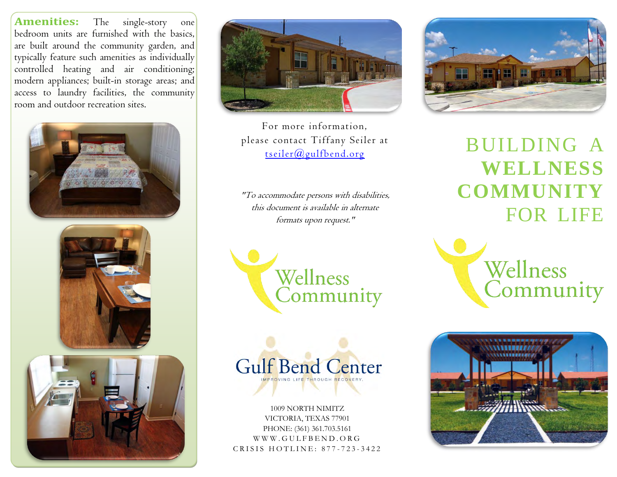typically feature such amenities as individually **Amenities:** The single-story one bedroom units are furnished with the basics, are built around the community garden, and controlled heating and air conditioning; modern appliances; built-in storage areas; and access to laundry facilities, the community room and outdoor recreation sites.





For more information, please contact Tiffany Seiler at [tseiler@gulfbend.org](mailto:tseiler@gulfbend.org)

"To accommodate persons with disabilities, this document is available in alternate formats upon request."





1009 NORTH NIMITZ VICTORIA, TEXAS 77901 PHONE: (361) 361.703.5161 W W W . G U L F B E N D . O R G CRISIS HOTLINE: 877-723-3422



BUILDING A **WELLNESS COMMUNITY** FOR LIFE